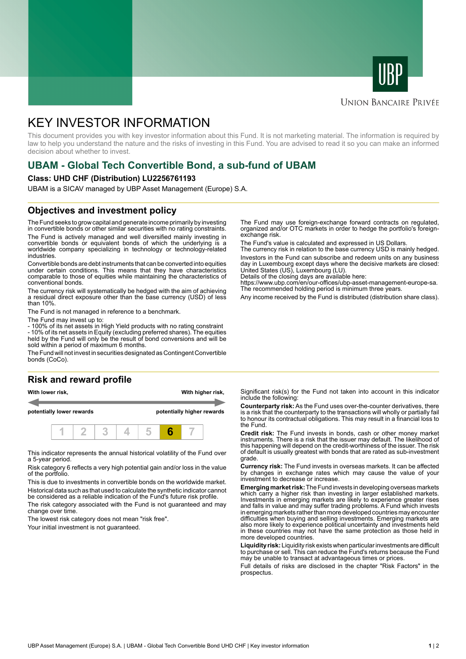



## **UNION BANCAIRE PRIVÉE**

# KEY INVESTOR INFORMATION

This document provides you with key investor information about this Fund. It is not marketing material. The information is required by law to help you understand the nature and the risks of investing in this Fund. You are advised to read it so you can make an informed decision about whether to invest.

# **UBAM - Global Tech Convertible Bond, a sub-fund of UBAM**

#### **Class: UHD CHF (Distribution) LU2256761193**

UBAM is a SICAV managed by UBP Asset Management (Europe) S.A.

### **Objectives and investment policy**

The Fund seeks to grow capital and generate income primarily by investing in convertible bonds or other similar securities with no rating constraints. The Fund is actively managed and well diversified mainly investing in

convertible bonds or equivalent bonds of which the underlying is a worldwide company specializing in technology or technology-related industries.

Convertible bonds are debt instruments that can be converted into equities under certain conditions. This means that they have characteristics comparable to those of equities while maintaining the characteristics of conventional bonds.

The currency risk will systematically be hedged with the aim of achieving a residual direct exposure other than the base currency (USD) of less than 10%.

The Fund is not managed in reference to a benchmark.

The Fund may invest up to:

- 100% of its net assets in High Yield products with no rating constraint - 10% of its net assets in Equity (excluding preferred shares). The equities held by the Fund will only be the result of bond conversions and will be

sold within a period of maximum 6 months. The Fund will not invest in securities designated as Contingent Convertible

bonds (CoCo).

#### **Risk and reward profile**



This indicator represents the annual historical volatility of the Fund over a 5-year period.

Risk category 6 reflects a very high potential gain and/or loss in the value of the portfolio.

This is due to investments in convertible bonds on the worldwide market. Historical data such as that used to calculate the synthetic indicator cannot be considered as a reliable indication of the Fund's future risk profile. The risk category associated with the Fund is not guaranteed and may

change over time.

The lowest risk category does not mean "risk free".

Your initial investment is not guaranteed.

The Fund may use foreign-exchange forward contracts on regulated, organized and/or OTC markets in order to hedge the portfolio's foreignexchange risk.

The Fund's value is calculated and expressed in US Dollars.

The currency risk in relation to the base currency USD is mainly hedged. Investors in the Fund can subscribe and redeem units on any business day in Luxembourg except days where the decisive markets are closed: United States (US), Luxembourg (LU).

Details of the closing days are available here:

https://www.ubp.com/en/our-offices/ubp-asset-management-europe-sa. The recommended holding period is minimum three years.

Any income received by the Fund is distributed (distribution share class).

Significant risk(s) for the Fund not taken into account in this indicator include the following:

**Counterparty risk:** As the Fund uses over-the-counter derivatives, there is a risk that the counterparty to the transactions will wholly or partially fail to honour its contractual obligations. This may result in a financial loss to the Fund.

**Credit risk:** The Fund invests in bonds, cash or other money market instruments. There is a risk that the issuer may default. The likelihood of this happening will depend on the credit-worthiness of the issuer. The risk of default is usually greatest with bonds that are rated as sub-investment grade.

**Currency risk:** The Fund invests in overseas markets. It can be affected by changes in exchange rates which may cause the value of your investment to decrease or increase.

**Emerging market risk:** The Fund invests in developing overseas markets which carry a higher risk than investing in larger established markets. Investments in emerging markets are likely to experience greater rises and falls in value and may suffer trading problems. A Fund which invests in emerging markets rather than more developed countries may encounter difficulties when buying and selling investments. Emerging markets are also more likely to experience political uncertainty and investments held in these countries may not have the same protection as those held in more developed countries.

**Liquidity risk:** Liquidity risk exists when particular investments are difficult to purchase or sell. This can reduce the Fund's returns because the Fund may be unable to transact at advantageous times or prices.

Full details of risks are disclosed in the chapter "Risk Factors" in the prospectus.